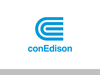

# conEdison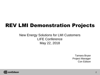# REV LMI Demonstration Projects

### New Energy Solutions for LMI Customers LIFE Conference May 22, 2018

Tamara Bryan Project Manager Con Edison

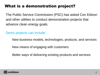# What is a demonstration project?

The Public Service Commission (PSC) has asked Con Edison and other utilities to conduct demonstration projects that advance clean energy goals.

Demo projects can include:

New business models, technologies, products, and services

New means of engaging with customers

Better ways of delivering existing products and services

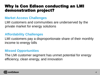### Why is Con Edison conducting an LMI demonstration project?

#### **Market Access Challenges**

LMI customers and communities are underserved by the private market for energy solutions

### **Affordability Challenges**

LMI customers pay a disproportionate share of their monthly income to energy bills

### **Missed Opportunities**

The LMI customer segment has unmet potential for energy efficiency, clean energy, and innovation

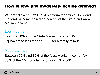### How is low- and moderate-income defined?

We are following NYSERDA's criteria for defining low- and moderate-income based on percent of the State and Area Median Income

#### **Low-income**

Less than 60% of the State Median Income (SMI) Equivalent to less than \$51,800 for a family of four

#### **Moderate-income**

Between 60% and 80% of the Area Median Income (AMI) 80% of the AMI for a family of four  $= $72,500$ 

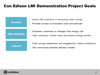### Con Edison LMI Demonstration Project Goals

| <b>Access</b>        | Assist LMI customers in accessing clean energy<br>۰<br>Promote access to innovative tools and services<br>۰ |
|----------------------|-------------------------------------------------------------------------------------------------------------|
| <b>Affordability</b> | Empower customers to manage their energy use<br>Help customers control costs and reduce energy burden       |
| <b>Impact</b>        | Grow energy awareness and engagement; reduce emissions<br>Test community-oriented delivery models           |

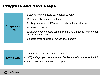### Progress and Next Steps

| <b>Progress to</b><br><b>Date</b> | • Listened and conducted stakeholder outreach<br>• Released solicitation for partners<br>• Publicly answered all 115 questions about the solicitation<br>• Received proposals<br>• Evaluated each proposal using a committee of internal and external<br>subject matter experts<br>• Selected three finalists for further development. |
|-----------------------------------|----------------------------------------------------------------------------------------------------------------------------------------------------------------------------------------------------------------------------------------------------------------------------------------------------------------------------------------|
|                                   |                                                                                                                                                                                                                                                                                                                                        |

|  | • Communicate project concepts publicly |  |  |  |
|--|-----------------------------------------|--|--|--|
|--|-----------------------------------------|--|--|--|

#### **Next Steps**

- *Q2/Q3 file project concepts and implementation plans with DPS*
- Run demonstration projects, 2-3 years

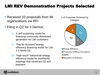### LMI REV Demonstration Projects Selected

- Received 33 proposals from 96 organizations via RFI
- Filing in Q2 for 3 Demos:
	- 1) A self-sustaining model for financing community distributed generation for LMI customers
	- 2) "Pay for Success" energy efficiency financing model for LMI 1-4 family EE
	- 3) "High touch" behavioral energy efficiency model for multifamily buildings that combines EE and payment

# of Proposals Received by **Category** 



■ Financing & Billing Innovations **ODERs □** Education & Outreach

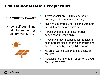# LMI Demonstration Projects #1

#### **"Community Power"**

A new, self-sustaining model for supporting LMI community DG



- 1 MW of solar on NYCHA, affordable housing, and commercial buildings
- 351 direct-metered Con Edison customers in NYCHA housing participate
- Participants share benefits through cooperative membership
- Participants pay a subscription, receive a fixed-percent discount on solar credits and see a net monthly energy bill savings
- No credit worthiness or capital outlay is required
- Installation completed by under-employed NYCHA residents

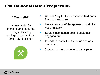## LMI Demonstration Projects #2

#### **"EnergyFit"**

 A new model for financing and capturing energy efficiency savings in one- to fourfamily LMI buildings



- Utilizes "Pay for Success" as a third-party financing structure
- Leverages a portfolio approach to similar housing stock
- Streamlines measures and customer engagement
- Intends to reach 1,500 electric and gas customers
- No cost to the customer to participate

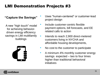# LMI Demonstration Projects #3

#### **"Capture the Savings"**

A new "high touch" model for achieving behaviordriven energy efficiency savings in LMI multifamily buildings



- Uses "human-centered" or customer-lead project design
- Include customer-centric flexible payment options, bill forecasts, and EE related calls to action
- Intends to reach 2,900 direct-metered customers living in NYCHA and affordable housing developments,
- No cost to the customer to participate
- A minimum 4% monthly customer energy savings expected – two to four times higher than traditional behavioral initiatives

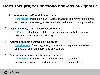### Does this project portfolio address our goals?

#### 1. **Increase Access, Affordability and Impact**

**It Increases:** Participating LMI customer access to innovative tools and services, reduces energy costs, and individual and community benefits

#### 2. **Reach a variety of LMI customer segments**

**It Reaches:** 1-4 family LMI buildings, multifamily public housing, and LMI multifamily affordable housing

#### 3. **Address multiple desired learning areas**

**It Addresses:** Financing**,** energy literacy, trust, payment, and other unique LMI segment challenges and barriers

#### 4. **Spur innovation and new business models**

**It Innovates:** Using new financing mechanisms, payment tools, engagement strategies, and partnerships that can animate markets